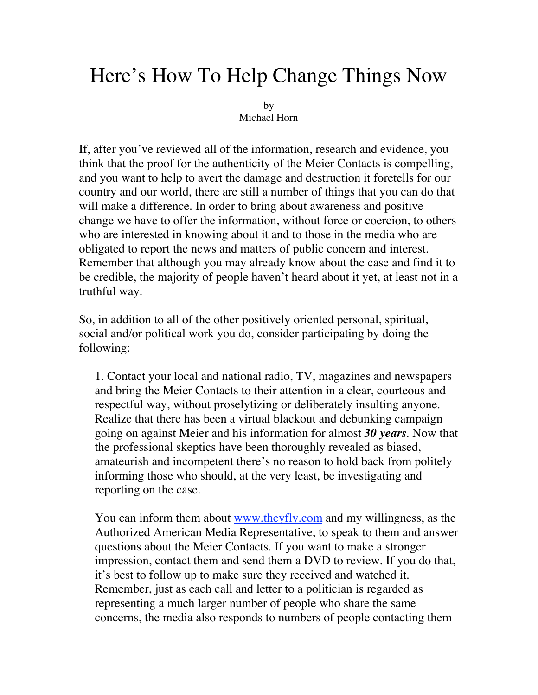## Here's How To Help Change Things Now

by Michael Horn

If, after you've reviewed all of the information, research and evidence, you think that the proof for the authenticity of the Meier Contacts is compelling, and you want to help to avert the damage and destruction it foretells for our country and our world, there are still a number of things that you can do that will make a difference. In order to bring about awareness and positive change we have to offer the information, without force or coercion, to others who are interested in knowing about it and to those in the media who are obligated to report the news and matters of public concern and interest. Remember that although you may already know about the case and find it to be credible, the majority of people haven't heard about it yet, at least not in a truthful way.

So, in addition to all of the other positively oriented personal, spiritual, social and/or political work you do, consider participating by doing the following:

1. Contact your local and national radio, TV, magazines and newspapers and bring the Meier Contacts to their attention in a clear, courteous and respectful way, without proselytizing or deliberately insulting anyone. Realize that there has been a virtual blackout and debunking campaign going on against Meier and his information for almost *30 years*. Now that the professional skeptics have been thoroughly revealed as biased, amateurish and incompetent there's no reason to hold back from politely informing those who should, at the very least, be investigating and reporting on the case.

You can inform them about www.theyfly.com and my willingness, as the Authorized American Media Representative, to speak to them and answer questions about the Meier Contacts. If you want to make a stronger impression, contact them and send them a DVD to review. If you do that, it's best to follow up to make sure they received and watched it. Remember, just as each call and letter to a politician is regarded as representing a much larger number of people who share the same concerns, the media also responds to numbers of people contacting them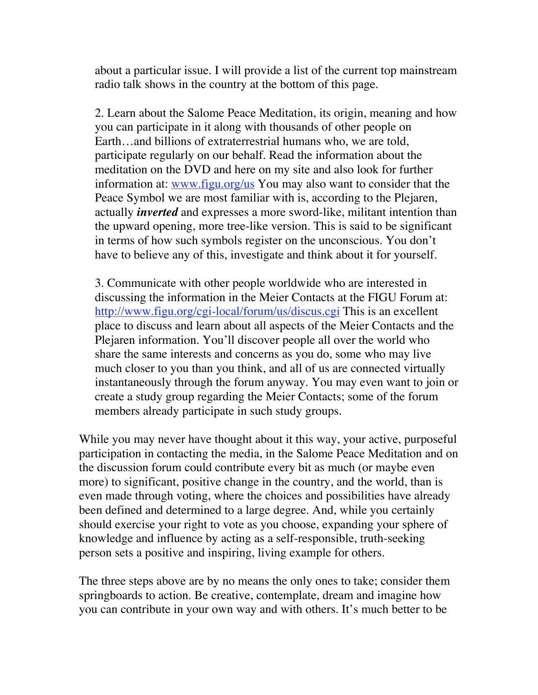about a particular issue. I will provide a list of the current top mainstream radio talk shows in the country at the bottom of this page.

2. Learn about the Salome Peace Meditation, its origin, meaning and how you can participate in it along with thousands of other people on Earth…and billions of extraterrestrial humans who, we are told, participate regularly on our behalf. Read the information about the meditation on the DVD and here on my site and also look for further information at: www.figu.org/us You may also want to consider that the Peace Symbol we are most familiar with is, according to the Plejaren, actually *inverted* and expresses a more sword-like, militant intention than the upward opening, more tree-like version. This is said to be significant in terms of how such symbols register on the unconscious. You don't have to believe any of this, investigate and think about it for yourself.

3. Communicate with other people worldwide who are interested in discussing the information in the Meier Contacts at the FIGU Forum at: http://www.figu.org/cgi-local/forum/us/discus.cgi This is an excellent place to discuss and learn about all aspects of the Meier Contacts and the Plejaren information. You'll discover people all over the world who share the same interests and concerns as you do, some who may live much closer to you than you think, and all of us are connected virtually instantaneously through the forum anyway. You may even want to join or create a study group regarding the Meier Contacts; some of the forum members already participate in such study groups.

While you may never have thought about it this way, your active, purposeful participation in contacting the media, in the Salome Peace Meditation and on the discussion forum could contribute every bit as much (or maybe even more) to significant, positive change in the country, and the world, than is even made through voting, where the choices and possibilities have already been defined and determined to a large degree. And, while you certainly should exercise your right to vote as you choose, expanding your sphere of knowledge and influence by acting as a self-responsible, truth-seeking person sets a positive and inspiring, living example for others.

The three steps above are by no means the only ones to take; consider them springboards to action. Be creative, contemplate, dream and imagine how you can contribute in your own way and with others. It's much better to be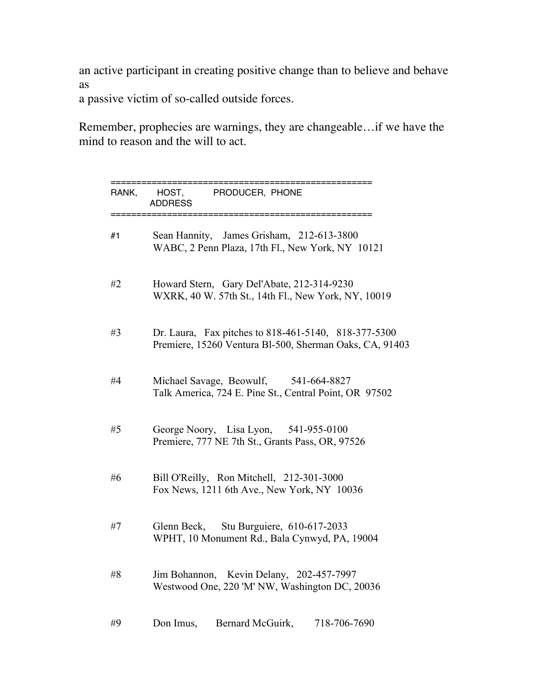an active participant in creating positive change than to believe and behave as

a passive victim of so-called outside forces.

Remember, prophecies are warnings, they are changeable…if we have the mind to reason and the will to act.

| RANK, !!!!!!! HOST, !!!!!!!!!!! PRODUCER, ! PHONE<br>!!!!!!!!!!!!!!! ADDRESS |                                                                                                                 |  |
|------------------------------------------------------------------------------|-----------------------------------------------------------------------------------------------------------------|--|
| #1                                                                           | Sean Hannity, James Grisham, 212-613-3800<br>WABC, 2 Penn Plaza, 17th Fl., New York, NY 10121                   |  |
| #2                                                                           | Howard Stern, Gary Del'Abate, 212-314-9230<br>WXRK, 40 W. 57th St., 14th Fl., New York, NY, 10019               |  |
| #3                                                                           | Dr. Laura, Fax pitches to 818-461-5140, 818-377-5300<br>Premiere, 15260 Ventura Bl-500, Sherman Oaks, CA, 91403 |  |
| #4                                                                           | Michael Savage, Beowulf, 541-664-8827<br>Talk America, 724 E. Pine St., Central Point, OR 97502                 |  |
| #5                                                                           | George Noory, Lisa Lyon, 541-955-0100<br>Premiere, 777 NE 7th St., Grants Pass, OR, 97526                       |  |
| #6                                                                           | Bill O'Reilly, Ron Mitchell, 212-301-3000<br>Fox News, 1211 6th Ave., New York, NY 10036                        |  |
| #7                                                                           | Glenn Beck, Stu Burguiere, 610-617-2033<br>WPHT, 10 Monument Rd., Bala Cynwyd, PA, 19004                        |  |
| #8                                                                           | Jim Bohannon, Kevin Delany, 202-457-7997<br>Westwood One, 220 'M' NW, Washington DC, 20036                      |  |
| #9                                                                           | Don Imus,<br>Bernard McGuirk,<br>718-706-7690                                                                   |  |